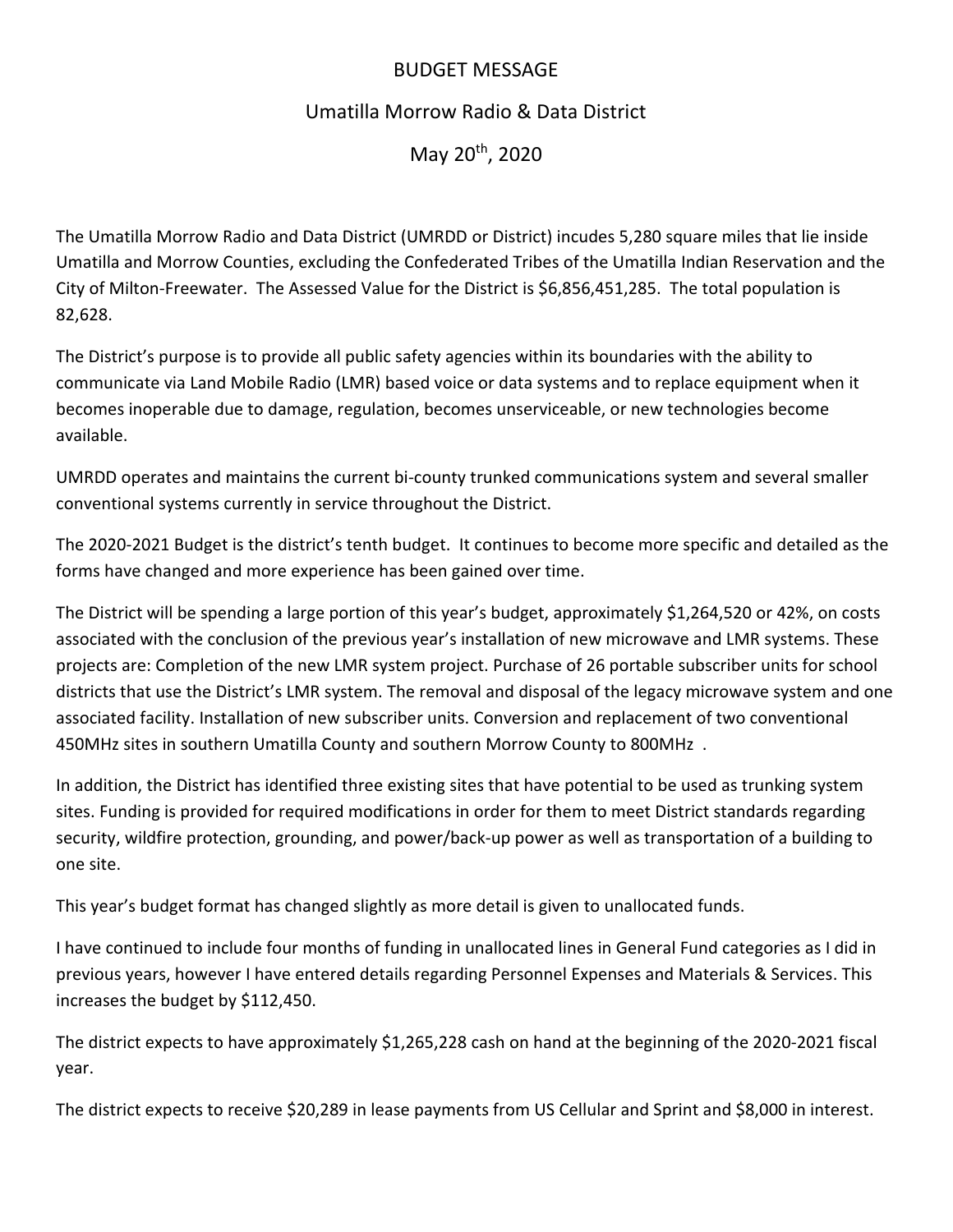## BUDGET MESSAGE

# Umatilla Morrow Radio & Data District

May 20th, 2020

The Umatilla Morrow Radio and Data District (UMRDD or District) incudes 5,280 square miles that lie inside Umatilla and Morrow Counties, excluding the Confederated Tribes of the Umatilla Indian Reservation and the City of Milton-Freewater. The Assessed Value for the District is \$6,856,451,285. The total population is 82,628.

The District's purpose is to provide all public safety agencies within its boundaries with the ability to communicate via Land Mobile Radio (LMR) based voice or data systems and to replace equipment when it becomes inoperable due to damage, regulation, becomes unserviceable, or new technologies become available.

UMRDD operates and maintains the current bi-county trunked communications system and several smaller conventional systems currently in service throughout the District.

The 2020-2021 Budget is the district's tenth budget. It continues to become more specific and detailed as the forms have changed and more experience has been gained over time.

The District will be spending a large portion of this year's budget, approximately \$1,264,520 or 42%, on costs associated with the conclusion of the previous year's installation of new microwave and LMR systems. These projects are: Completion of the new LMR system project. Purchase of 26 portable subscriber units for school districts that use the District's LMR system. The removal and disposal of the legacy microwave system and one associated facility. Installation of new subscriber units. Conversion and replacement of two conventional 450MHz sites in southern Umatilla County and southern Morrow County to 800MHz .

In addition, the District has identified three existing sites that have potential to be used as trunking system sites. Funding is provided for required modifications in order for them to meet District standards regarding security, wildfire protection, grounding, and power/back-up power as well as transportation of a building to one site.

This year's budget format has changed slightly as more detail is given to unallocated funds.

I have continued to include four months of funding in unallocated lines in General Fund categories as I did in previous years, however I have entered details regarding Personnel Expenses and Materials & Services. This increases the budget by \$112,450.

The district expects to have approximately \$1,265,228 cash on hand at the beginning of the 2020-2021 fiscal year.

The district expects to receive \$20,289 in lease payments from US Cellular and Sprint and \$8,000 in interest.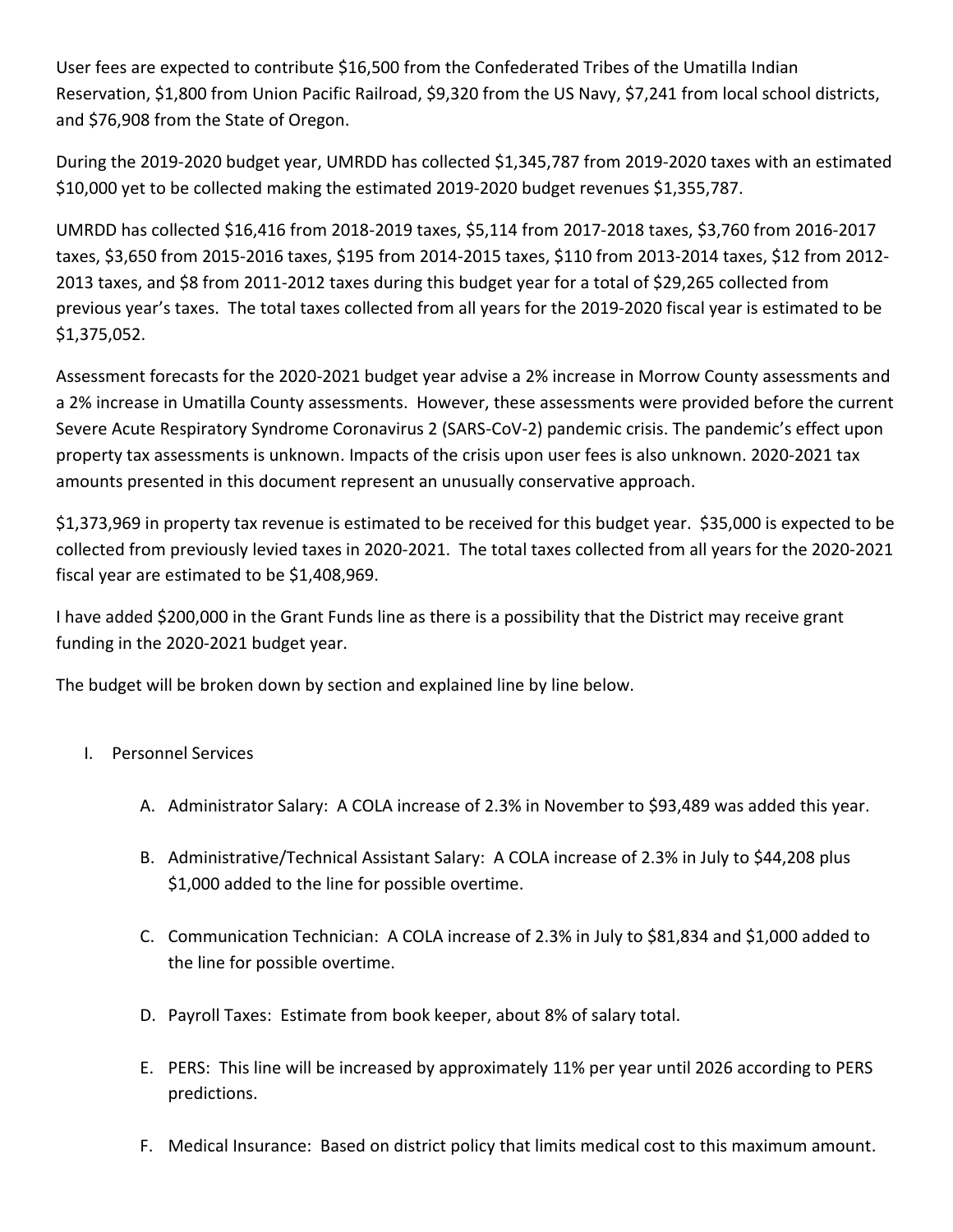User fees are expected to contribute \$16,500 from the Confederated Tribes of the Umatilla Indian Reservation, \$1,800 from Union Pacific Railroad, \$9,320 from the US Navy, \$7,241 from local school districts, and \$76,908 from the State of Oregon.

During the 2019-2020 budget year, UMRDD has collected \$1,345,787 from 2019-2020 taxes with an estimated \$10,000 yet to be collected making the estimated 2019-2020 budget revenues \$1,355,787.

UMRDD has collected \$16,416 from 2018-2019 taxes, \$5,114 from 2017-2018 taxes, \$3,760 from 2016-2017 taxes, \$3,650 from 2015-2016 taxes, \$195 from 2014-2015 taxes, \$110 from 2013-2014 taxes, \$12 from 2012- 2013 taxes, and \$8 from 2011-2012 taxes during this budget year for a total of \$29,265 collected from previous year's taxes. The total taxes collected from all years for the 2019-2020 fiscal year is estimated to be \$1,375,052.

Assessment forecasts for the 2020-2021 budget year advise a 2% increase in Morrow County assessments and a 2% increase in Umatilla County assessments. However, these assessments were provided before the current Severe Acute Respiratory Syndrome Coronavirus 2 (SARS-CoV-2) pandemic crisis. The pandemic's effect upon property tax assessments is unknown. Impacts of the crisis upon user fees is also unknown. 2020-2021 tax amounts presented in this document represent an unusually conservative approach.

\$1,373,969 in property tax revenue is estimated to be received for this budget year. \$35,000 is expected to be collected from previously levied taxes in 2020-2021. The total taxes collected from all years for the 2020-2021 fiscal year are estimated to be \$1,408,969.

I have added \$200,000 in the Grant Funds line as there is a possibility that the District may receive grant funding in the 2020-2021 budget year.

The budget will be broken down by section and explained line by line below.

- I. Personnel Services
	- A. Administrator Salary: A COLA increase of 2.3% in November to \$93,489 was added this year.
	- B. Administrative/Technical Assistant Salary: A COLA increase of 2.3% in July to \$44,208 plus \$1,000 added to the line for possible overtime.
	- C. Communication Technician: A COLA increase of 2.3% in July to \$81,834 and \$1,000 added to the line for possible overtime.
	- D. Payroll Taxes: Estimate from book keeper, about 8% of salary total.
	- E. PERS: This line will be increased by approximately 11% per year until 2026 according to PERS predictions.
	- F. Medical Insurance: Based on district policy that limits medical cost to this maximum amount.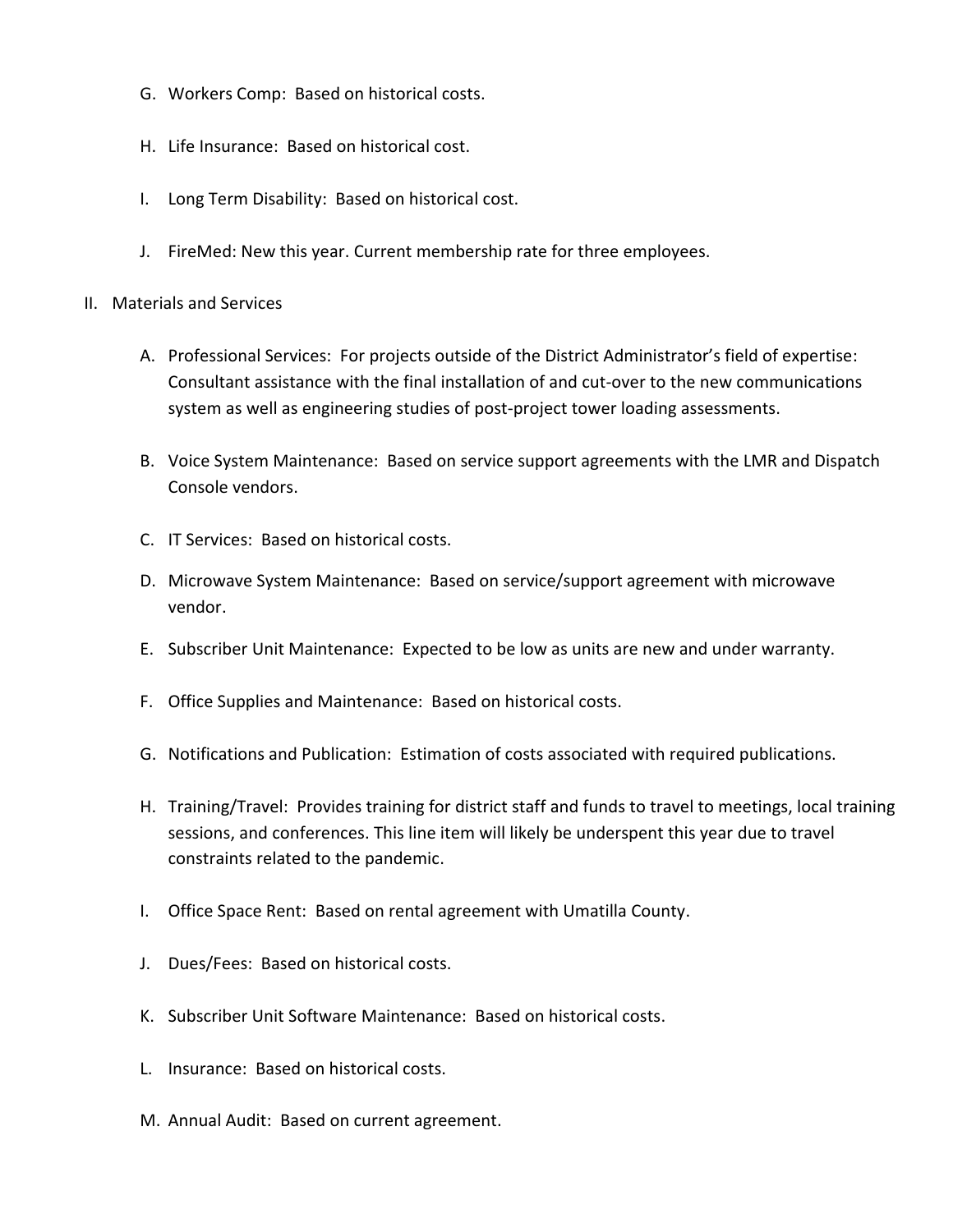- G. Workers Comp: Based on historical costs.
- H. Life Insurance: Based on historical cost.
- I. Long Term Disability: Based on historical cost.
- J. FireMed: New this year. Current membership rate for three employees.
- II. Materials and Services
	- A. Professional Services: For projects outside of the District Administrator's field of expertise: Consultant assistance with the final installation of and cut-over to the new communications system as well as engineering studies of post-project tower loading assessments.
	- B. Voice System Maintenance: Based on service support agreements with the LMR and Dispatch Console vendors.
	- C. IT Services: Based on historical costs.
	- D. Microwave System Maintenance: Based on service/support agreement with microwave vendor.
	- E. Subscriber Unit Maintenance: Expected to be low as units are new and under warranty.
	- F. Office Supplies and Maintenance: Based on historical costs.
	- G. Notifications and Publication: Estimation of costs associated with required publications.
	- H. Training/Travel: Provides training for district staff and funds to travel to meetings, local training sessions, and conferences. This line item will likely be underspent this year due to travel constraints related to the pandemic.
	- I. Office Space Rent: Based on rental agreement with Umatilla County.
	- J. Dues/Fees: Based on historical costs.
	- K. Subscriber Unit Software Maintenance: Based on historical costs.
	- L. Insurance: Based on historical costs.
	- M. Annual Audit: Based on current agreement.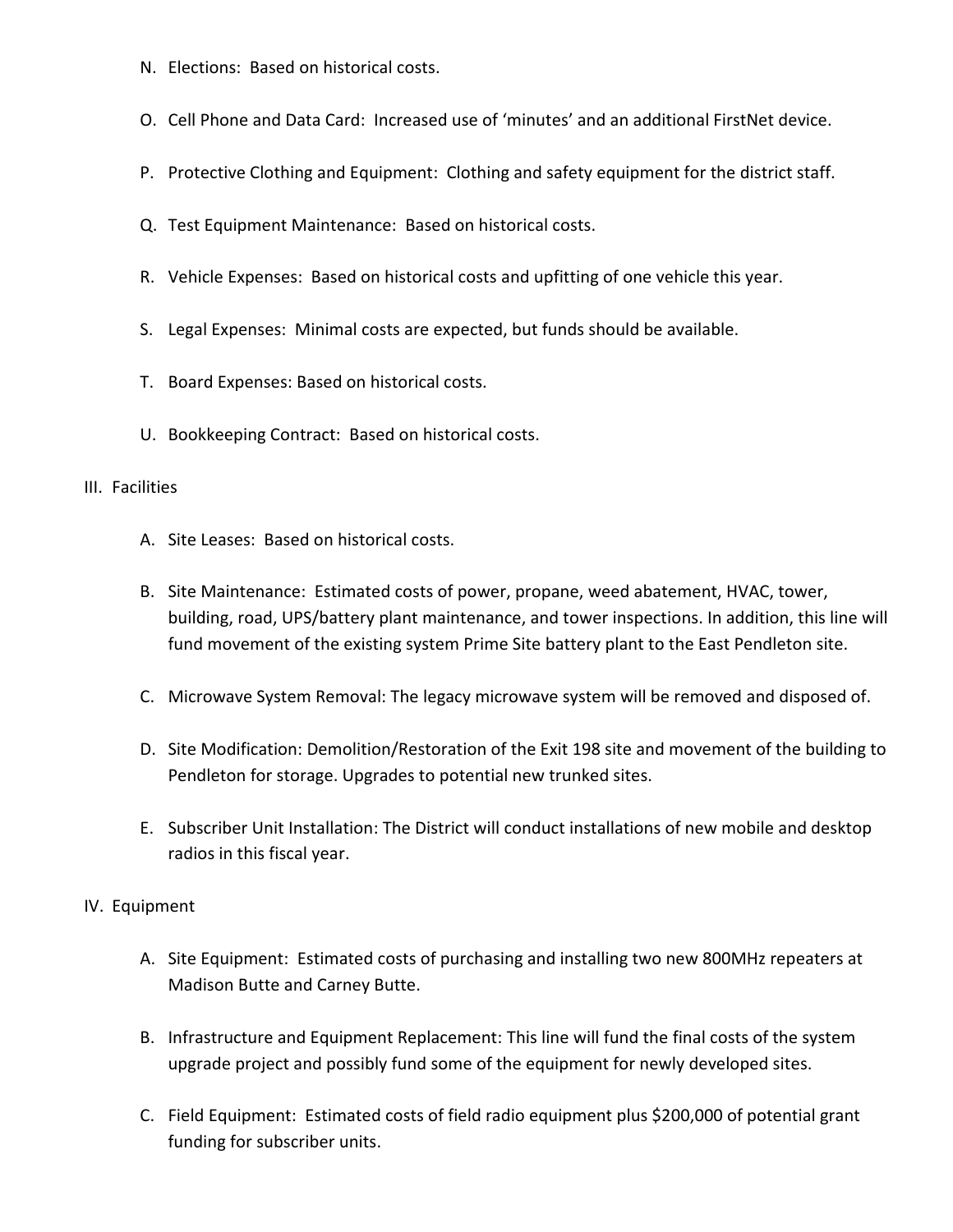- N. Elections: Based on historical costs.
- O. Cell Phone and Data Card: Increased use of 'minutes' and an additional FirstNet device.
- P. Protective Clothing and Equipment: Clothing and safety equipment for the district staff.
- Q. Test Equipment Maintenance: Based on historical costs.
- R. Vehicle Expenses: Based on historical costs and upfitting of one vehicle this year.
- S. Legal Expenses: Minimal costs are expected, but funds should be available.
- T. Board Expenses: Based on historical costs.
- U. Bookkeeping Contract: Based on historical costs.

#### III. Facilities

- A. Site Leases: Based on historical costs.
- B. Site Maintenance: Estimated costs of power, propane, weed abatement, HVAC, tower, building, road, UPS/battery plant maintenance, and tower inspections. In addition, this line will fund movement of the existing system Prime Site battery plant to the East Pendleton site.
- C. Microwave System Removal: The legacy microwave system will be removed and disposed of.
- D. Site Modification: Demolition/Restoration of the Exit 198 site and movement of the building to Pendleton for storage. Upgrades to potential new trunked sites.
- E. Subscriber Unit Installation: The District will conduct installations of new mobile and desktop radios in this fiscal year.

## IV. Equipment

- A. Site Equipment: Estimated costs of purchasing and installing two new 800MHz repeaters at Madison Butte and Carney Butte.
- B. Infrastructure and Equipment Replacement: This line will fund the final costs of the system upgrade project and possibly fund some of the equipment for newly developed sites.
- C. Field Equipment: Estimated costs of field radio equipment plus \$200,000 of potential grant funding for subscriber units.